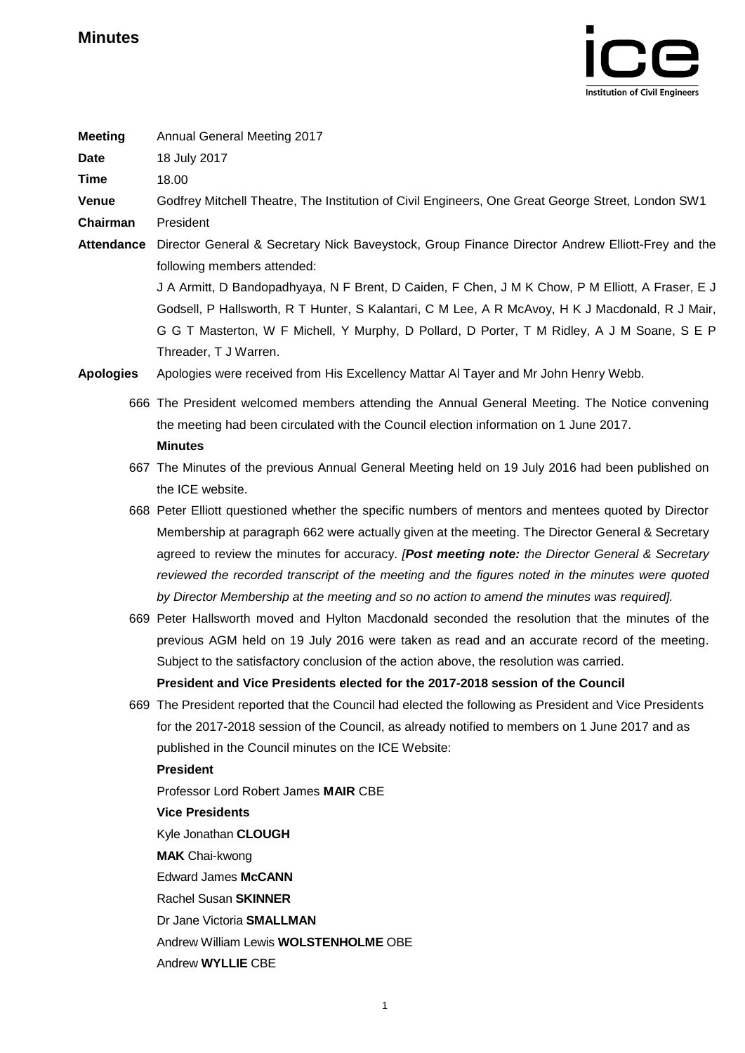

| <b>Meeting</b>    | Annual General Meeting 2017                                                                                                                                                                                                                                                                                                 |
|-------------------|-----------------------------------------------------------------------------------------------------------------------------------------------------------------------------------------------------------------------------------------------------------------------------------------------------------------------------|
| <b>Date</b>       | 18 July 2017                                                                                                                                                                                                                                                                                                                |
| <b>Time</b>       | 18.00                                                                                                                                                                                                                                                                                                                       |
| Venue             | Godfrey Mitchell Theatre, The Institution of Civil Engineers, One Great George Street, London SW1                                                                                                                                                                                                                           |
| Chairman          | President                                                                                                                                                                                                                                                                                                                   |
| <b>Attendance</b> | Director General & Secretary Nick Baveystock, Group Finance Director Andrew Elliott-Frey and the<br>following members attended:                                                                                                                                                                                             |
|                   | J A Armitt, D Bandopadhyaya, N F Brent, D Caiden, F Chen, J M K Chow, P M Elliott, A Fraser, E J<br>Godsell, P Hallsworth, R T Hunter, S Kalantari, C M Lee, A R McAvoy, H K J Macdonald, R J Mair,<br>G G T Masterton, W F Michell, Y Murphy, D Pollard, D Porter, T M Ridley, A J M Soane, S E P<br>Threader, T J Warren. |
| <b>Apologies</b>  | Apologies were received from His Excellency Mattar AI Tayer and Mr John Henry Webb.                                                                                                                                                                                                                                         |
|                   | 666 The President welcomed members attending the Annual General Meeting. The Notice convening<br>the meeting had been circulated with the Council election information on 1 June 2017.                                                                                                                                      |
|                   | <b>Minutes</b>                                                                                                                                                                                                                                                                                                              |
|                   | 667 The Minutes of the previous Annual General Meeting held on 19 July 2016 had been published on<br>the ICE website.                                                                                                                                                                                                       |
|                   | 668 Peter Elliott questioned whether the specific numbers of mentors and mentees quoted by Director                                                                                                                                                                                                                         |
|                   | Membership at paragraph 662 were actually given at the meeting. The Director General & Secretary                                                                                                                                                                                                                            |
|                   | agreed to review the minutes for accuracy. [Post meeting note: the Director General & Secretary                                                                                                                                                                                                                             |
|                   | reviewed the recorded transcript of the meeting and the figures noted in the minutes were quoted                                                                                                                                                                                                                            |
|                   | by Director Membership at the meeting and so no action to amend the minutes was required].                                                                                                                                                                                                                                  |
|                   | 669 Peter Hallsworth moved and Hylton Macdonald seconded the resolution that the minutes of the                                                                                                                                                                                                                             |
|                   | previous AGM held on 19 July 2016 were taken as read and an accurate record of the meeting.                                                                                                                                                                                                                                 |
|                   | Subject to the satisfactory conclusion of the action above, the resolution was carried.                                                                                                                                                                                                                                     |
|                   | President and Vice Presidents elected for the 2017-2018 session of the Council                                                                                                                                                                                                                                              |
|                   | 669 The President reported that the Council had elected the following as President and Vice Presidents                                                                                                                                                                                                                      |
|                   | for the 2017-2018 session of the Council, as already notified to members on 1 June 2017 and as                                                                                                                                                                                                                              |
|                   | published in the Council minutes on the ICE Website:                                                                                                                                                                                                                                                                        |
|                   | <b>President</b>                                                                                                                                                                                                                                                                                                            |
|                   | Professor Lord Robert James MAIR CBE                                                                                                                                                                                                                                                                                        |
|                   | <b>Vice Presidents</b>                                                                                                                                                                                                                                                                                                      |
|                   | Kyle Jonathan CLOUGH                                                                                                                                                                                                                                                                                                        |
|                   | <b>MAK</b> Chai-kwong                                                                                                                                                                                                                                                                                                       |
|                   | <b>Edward James McCANN</b>                                                                                                                                                                                                                                                                                                  |
|                   | <b>Rachel Susan SKINNER</b>                                                                                                                                                                                                                                                                                                 |
|                   | Dr Jane Victoria SMALLMAN<br>Andrew William Lewis WOLSTENHOLME OBE                                                                                                                                                                                                                                                          |
|                   | Andrew WYLLIE CBE                                                                                                                                                                                                                                                                                                           |
|                   |                                                                                                                                                                                                                                                                                                                             |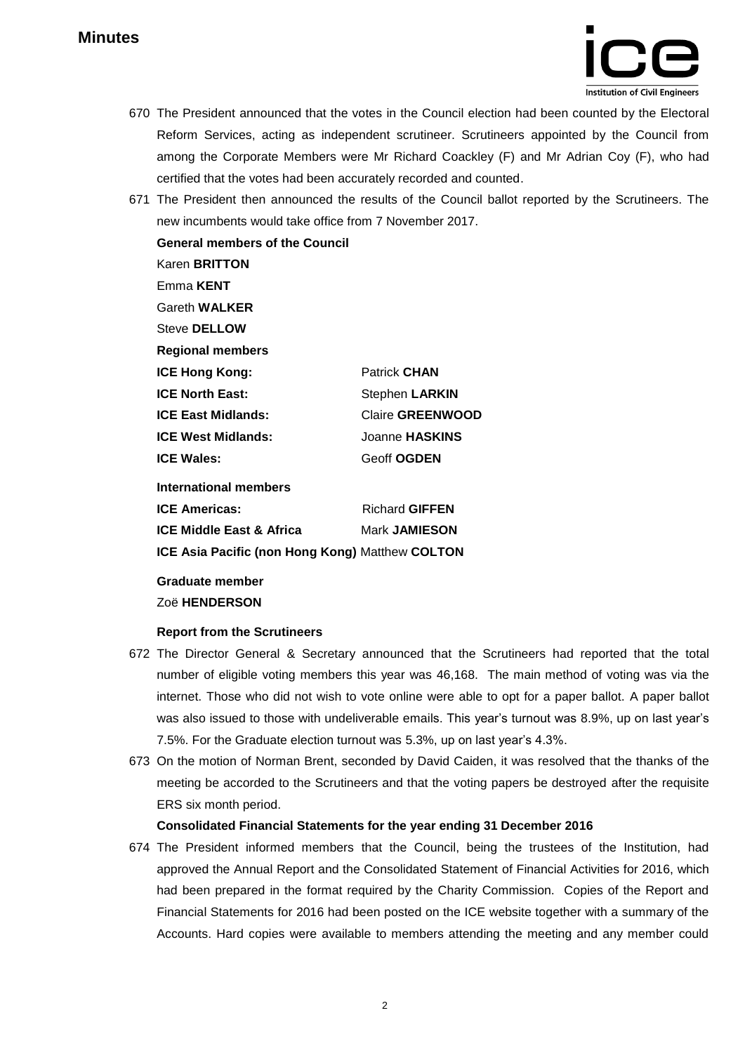

- 670 The President announced that the votes in the Council election had been counted by the Electoral Reform Services, acting as independent scrutineer. Scrutineers appointed by the Council from among the Corporate Members were Mr Richard Coackley (F) and Mr Adrian Coy (F), who had certified that the votes had been accurately recorded and counted.
- 671 The President then announced the results of the Council ballot reported by the Scrutineers. The new incumbents would take office from 7 November 2017. **General members of the Council** Karen **BRITTON** Emma **KENT** Gareth **WALKER** Steve **DELLOW Regional members ICE Hong Kong:** Patrick **CHAN ICE North East:** Stephen LARKIN **ICE East Midlands:** Claire **GREENWOOD ICE West Midlands:** Joanne **HASKINS ICE Wales:** Geoff OGDEN **International members ICE Americas:** Richard **GIFFEN ICE Middle East & Africa** Mark **JAMIESON**

**ICE Asia Pacific (non Hong Kong)** Matthew **COLTON**

**Graduate member** Zoë **HENDERSON**

### **Report from the Scrutineers**

- 672 The Director General & Secretary announced that the Scrutineers had reported that the total number of eligible voting members this year was 46,168. The main method of voting was via the internet. Those who did not wish to vote online were able to opt for a paper ballot. A paper ballot was also issued to those with undeliverable emails. This year's turnout was 8.9%, up on last year's 7.5%. For the Graduate election turnout was 5.3%, up on last year's 4.3%.
- 673 On the motion of Norman Brent, seconded by David Caiden, it was resolved that the thanks of the meeting be accorded to the Scrutineers and that the voting papers be destroyed after the requisite ERS six month period.

#### **Consolidated Financial Statements for the year ending 31 December 2016**

674 The President informed members that the Council, being the trustees of the Institution, had approved the Annual Report and the Consolidated Statement of Financial Activities for 2016, which had been prepared in the format required by the Charity Commission. Copies of the Report and Financial Statements for 2016 had been posted on the ICE website together with a summary of the Accounts. Hard copies were available to members attending the meeting and any member could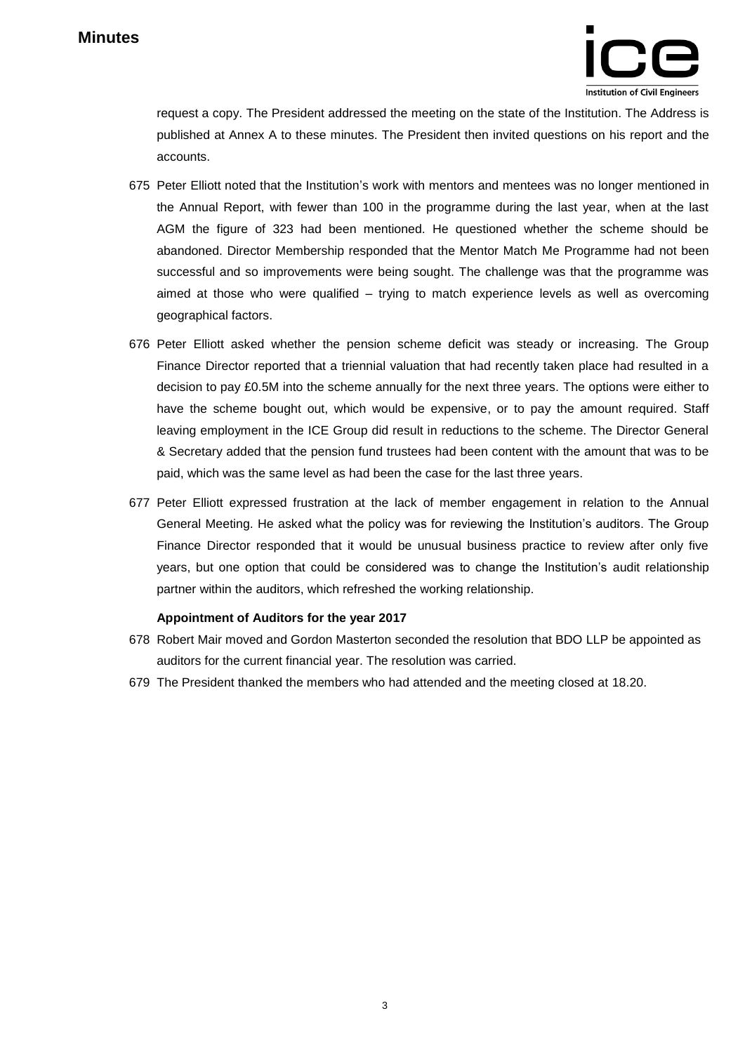

request a copy. The President addressed the meeting on the state of the Institution. The Address is published at Annex A to these minutes. The President then invited questions on his report and the accounts.

- 675 Peter Elliott noted that the Institution's work with mentors and mentees was no longer mentioned in the Annual Report, with fewer than 100 in the programme during the last year, when at the last AGM the figure of 323 had been mentioned. He questioned whether the scheme should be abandoned. Director Membership responded that the Mentor Match Me Programme had not been successful and so improvements were being sought. The challenge was that the programme was aimed at those who were qualified – trying to match experience levels as well as overcoming geographical factors.
- 676 Peter Elliott asked whether the pension scheme deficit was steady or increasing. The Group Finance Director reported that a triennial valuation that had recently taken place had resulted in a decision to pay £0.5M into the scheme annually for the next three years. The options were either to have the scheme bought out, which would be expensive, or to pay the amount required. Staff leaving employment in the ICE Group did result in reductions to the scheme. The Director General & Secretary added that the pension fund trustees had been content with the amount that was to be paid, which was the same level as had been the case for the last three years.
- 677 Peter Elliott expressed frustration at the lack of member engagement in relation to the Annual General Meeting. He asked what the policy was for reviewing the Institution's auditors. The Group Finance Director responded that it would be unusual business practice to review after only five years, but one option that could be considered was to change the Institution's audit relationship partner within the auditors, which refreshed the working relationship.

#### **Appointment of Auditors for the year 2017**

- 678 Robert Mair moved and Gordon Masterton seconded the resolution that BDO LLP be appointed as auditors for the current financial year. The resolution was carried.
- 679 The President thanked the members who had attended and the meeting closed at 18.20.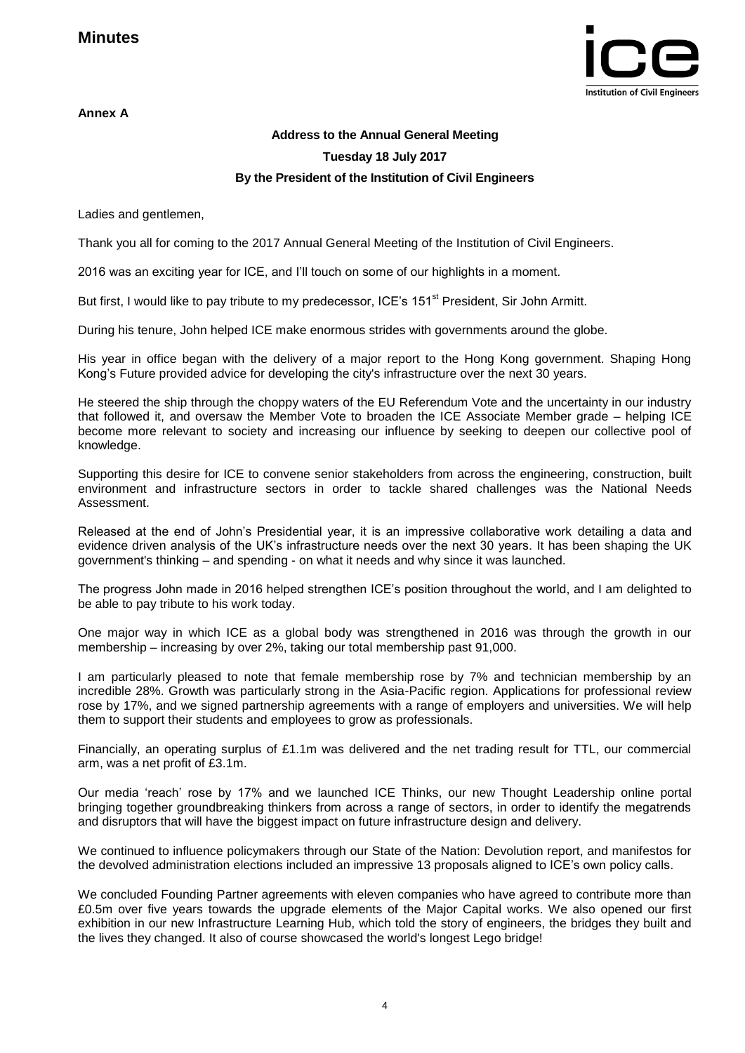**Annex A**



## **Address to the Annual General Meeting Tuesday 18 July 2017 By the President of the Institution of Civil Engineers**

Ladies and gentlemen,

Thank you all for coming to the 2017 Annual General Meeting of the Institution of Civil Engineers.

2016 was an exciting year for ICE, and I'll touch on some of our highlights in a moment.

But first, I would like to pay tribute to my predecessor, ICE's 151<sup>st</sup> President, Sir John Armitt.

During his tenure, John helped ICE make enormous strides with governments around the globe.

His year in office began with the delivery of a major report to the Hong Kong government. Shaping Hong Kong's Future provided advice for developing the city's infrastructure over the next 30 years.

He steered the ship through the choppy waters of the EU Referendum Vote and the uncertainty in our industry that followed it, and oversaw the Member Vote to broaden the ICE Associate Member grade – helping ICE become more relevant to society and increasing our influence by seeking to deepen our collective pool of knowledge.

Supporting this desire for ICE to convene senior stakeholders from across the engineering, construction, built environment and infrastructure sectors in order to tackle shared challenges was the National Needs Assessment.

Released at the end of John's Presidential year, it is an impressive collaborative work detailing a data and evidence driven analysis of the UK's infrastructure needs over the next 30 years. It has been shaping the UK government's thinking – and spending - on what it needs and why since it was launched.

The progress John made in 2016 helped strengthen ICE's position throughout the world, and I am delighted to be able to pay tribute to his work today.

One major way in which ICE as a global body was strengthened in 2016 was through the growth in our membership – increasing by over 2%, taking our total membership past 91,000.

I am particularly pleased to note that female membership rose by 7% and technician membership by an incredible 28%. Growth was particularly strong in the Asia-Pacific region. Applications for professional review rose by 17%, and we signed partnership agreements with a range of employers and universities. We will help them to support their students and employees to grow as professionals.

Financially, an operating surplus of £1.1m was delivered and the net trading result for TTL, our commercial arm, was a net profit of £3.1m.

Our media 'reach' rose by 17% and we launched ICE Thinks, our new Thought Leadership online portal bringing together groundbreaking thinkers from across a range of sectors, in order to identify the megatrends and disruptors that will have the biggest impact on future infrastructure design and delivery.

We continued to influence policymakers through our State of the Nation: Devolution report, and manifestos for the devolved administration elections included an impressive 13 proposals aligned to ICE's own policy calls.

We concluded Founding Partner agreements with eleven companies who have agreed to contribute more than £0.5m over five years towards the upgrade elements of the Major Capital works. We also opened our first exhibition in our new Infrastructure Learning Hub, which told the story of engineers, the bridges they built and the lives they changed. It also of course showcased the world's longest Lego bridge!